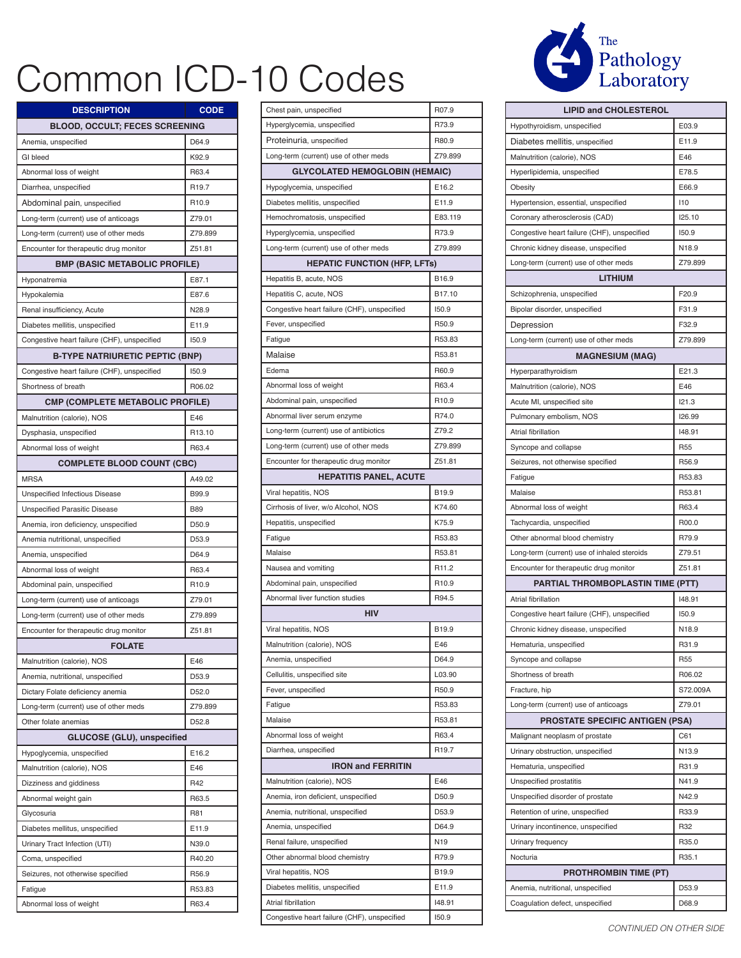## Common ICD-10 Codes

| <b>DESCRIPTION</b>                          | <b>CODE</b>        |  |
|---------------------------------------------|--------------------|--|
| <b>BLOOD, OCCULT; FECES SCREENING</b>       |                    |  |
| Anemia, unspecified                         | D64.9              |  |
| GI bleed                                    | K92.9              |  |
| Abnormal loss of weight                     | R63.4              |  |
| Diarrhea, unspecified                       | R <sub>19.7</sub>  |  |
| Abdominal pain, unspecified                 | R10.9              |  |
| Long-term (current) use of anticoags        | Z79.01             |  |
| Long-term (current) use of other meds       | Z79.899            |  |
| Encounter for therapeutic drug monitor      | Z51.81             |  |
| <b>BMP (BASIC METABOLIC PROFILE)</b>        |                    |  |
| Hyponatremia                                | E87.1              |  |
| Hypokalemia                                 | E87.6              |  |
| Renal insufficiency, Acute                  | N28.9              |  |
| Diabetes mellitis, unspecified              | E11.9              |  |
| Congestive heart failure (CHF), unspecified | 150.9              |  |
| <b>B-TYPE NATRIURETIC PEPTIC (BNP)</b>      |                    |  |
| Congestive heart failure (CHF), unspecified | <b>150.9</b>       |  |
| Shortness of breath                         | R06.02             |  |
| <b>CMP (COMPLETE METABOLIC PROFILE)</b>     |                    |  |
| Malnutrition (calorie), NOS                 | E46                |  |
| Dysphasia, unspecified                      | R <sub>13.10</sub> |  |
| Abnormal loss of weight                     | R63.4              |  |
| <b>COMPLETE BLOOD COUNT (CBC)</b>           |                    |  |
| <b>MRSA</b>                                 | A49.02             |  |
| Unspecified Infectious Disease              | B99.9              |  |
| <b>Unspecified Parasitic Disease</b>        | <b>B89</b>         |  |
| Anemia, iron deficiency, unspecified        | D50.9              |  |
| Anemia nutritional, unspecified             | D53.9              |  |
| Anemia, unspecified                         | D64.9              |  |
| Abnormal loss of weight                     | R63.4              |  |
| Abdominal pain, unspecified                 | R <sub>10.9</sub>  |  |
| Long-term (current) use of anticoags        | Z79.01             |  |
| Long-term (current) use of other meds       | Z79.899            |  |
| Encounter for therapeutic drug monitor      | Z51.81             |  |
| <b>FOLATE</b>                               |                    |  |
| Malnutrition (calorie), NOS                 | E46                |  |
| Anemia, nutritional, unspecified            | D53.9              |  |
| Dictary Folate deficiency anemia            | D52.0              |  |
| Long-term (current) use of other meds       | Z79.899            |  |
| Other folate anemias                        | D52.8              |  |
| <b>GLUCOSE (GLU), unspecified</b>           |                    |  |
| Hypoglycemia, unspecified                   | E16.2              |  |
| Malnutrition (calorie), NOS                 | E46                |  |
| Dizziness and giddiness                     | R42                |  |
| Abnormal weight gain                        | R63.5              |  |
| Glycosuria                                  | R81                |  |
| Diabetes mellitus, unspecified              | E11.9              |  |
| Urinary Tract Infection (UTI)               | N39.0              |  |
| Coma, unspecified                           | R40.20             |  |
| Seizures, not otherwise specified           | R56.9              |  |
| Fatigue                                     | R53.83             |  |
| Abnormal loss of weight                     | R63.4              |  |

| Chest pain, unspecified                     | R07.9             |
|---------------------------------------------|-------------------|
| Hyperglycemia, unspecified                  | R73.9             |
| Proteinuria, unspecified                    | R80.9             |
| Long-term (current) use of other meds       | Z79.899           |
| <b>GLYCOLATED HEMOGLOBIN (HEMAIC)</b>       |                   |
| Hypoglycemia, unspecified                   | E16.2             |
| Diabetes mellitis, unspecified              | E11.9             |
| Hemochromatosis, unspecified                | E83.119           |
| Hyperglycemia, unspecified                  | R73.9             |
| Long-term (current) use of other meds       | Z79.899           |
| <b>HEPATIC FUNCTION (HFP, LFTs)</b>         |                   |
| Hepatitis B, acute, NOS                     | B16.9             |
| Hepatitis C, acute, NOS                     | B17.10            |
| Congestive heart failure (CHF), unspecified | 150.9             |
| Fever, unspecified                          | R50.9             |
| Fatigue                                     | R53.83            |
| Malaise                                     | R53.81            |
| Edema                                       | R60.9             |
| Abnormal loss of weight                     | R63.4             |
| Abdominal pain, unspecified                 | R <sub>10.9</sub> |
| Abnormal liver serum enzyme                 | R74.0             |
| Long-term (current) use of antibiotics      | Z79.2             |
| Long-term (current) use of other meds       | Z79.899           |
| Encounter for therapeutic drug monitor      | Z51.81            |
| <b>HEPATITIS PANEL, ACUTE</b>               |                   |
| Viral hepatitis, NOS                        | B <sub>19.9</sub> |
| Cirrhosis of liver, w/o Alcohol, NOS        | K74.60            |
| Hepatitis, unspecified                      | K75.9             |
| Fatigue                                     | R53.83            |
| Malaise                                     | R53.81            |
| Nausea and vomiting                         | R <sub>11.2</sub> |
| Abdominal pain, unspecified                 | R <sub>10.9</sub> |
| Abnormal liver function studies             | R94.5             |
| <b>HIV</b>                                  |                   |
| Viral hepatitis, NOS                        | B19.9             |
| Malnutrition (calorie), NOS                 | E46               |
| Anemia, unspecified                         | D64.9             |
| Cellulitis, unspecified site                | L03.90            |
| Fever, unspecified                          | R <sub>50.9</sub> |
| Fatigue                                     | R53.83            |
| Malaise                                     | R53.81            |
| Abnormal loss of weight                     | R63.4             |
| Diarrhea, unspecified                       | R <sub>19.7</sub> |
| <b>IRON and FERRITIN</b>                    |                   |
| Malnutrition (calorie), NOS                 | E46               |
| Anemia, iron deficient, unspecified         | D50.9             |
| Anemia, nutritional, unspecified            | D53.9             |
| Anemia, unspecified                         | D64.9             |
| Renal failure, unspecified                  | N19               |
| Other abnormal blood chemistry              | R79.9             |
| Viral hepatitis, NOS                        | B19.9             |
| Diabetes mellitis, unspecified              | E11.9             |
| Atrial fibrillation                         | 148.91            |
| Congestive heart failure (CHF), unspecified | 150.9             |



| <b>LIPID and CHOLESTEROL</b>                |                 |  |
|---------------------------------------------|-----------------|--|
| Hypothyroidism, unspecified                 | E03.9           |  |
| Diabetes mellitis, unspecified              | E11.9           |  |
| Malnutrition (calorie), NOS                 | E46             |  |
| Hyperlipidemia, unspecified                 | E78.5           |  |
| Obesity                                     | E66.9           |  |
| Hypertension, essential, unspecified        | 110             |  |
| Coronary atherosclerosis (CAD)              | 125.10          |  |
| Congestive heart failure (CHF), unspecified | 150.9           |  |
| Chronic kidney disease, unspecified         | N18.9           |  |
| Long-term (current) use of other meds       | Z79.899         |  |
| <b>LITHIUM</b>                              |                 |  |
| Schizophrenia, unspecified                  | F20.9           |  |
| Bipolar disorder, unspecified               | F31.9           |  |
| Depression                                  | F32.9           |  |
| Long-term (current) use of other meds       | Z79.899         |  |
| <b>MAGNESIUM (MAG)</b>                      |                 |  |
| Hyperparathyroidism                         | E21.3           |  |
| Malnutrition (calorie), NOS                 | E46             |  |
| Acute MI, unspecified site                  | 121.3           |  |
| Pulmonary embolism, NOS                     | 126.99          |  |
| Atrial fibrillation                         | 148.91          |  |
| Syncope and collapse                        | R <sub>55</sub> |  |
| Seizures, not otherwise specified           | R56.9           |  |
| Fatigue                                     | R53.83          |  |
| Malaise                                     | R53.81          |  |
| Abnormal loss of weight                     | R63.4           |  |
| Tachycardia, unspecified                    | R00.0           |  |
| Other abnormal blood chemistry              | R79.9           |  |
| Long-term (current) use of inhaled steroids | Z79.51          |  |
| Encounter for therapeutic drug monitor      | Z51.81          |  |
| PARTIAL THROMBOPLASTIN TIME (PTT)           |                 |  |
| Atrial fibrillation                         | 148.91          |  |
| Congestive heart failure (CHF), unspecified | 150.9           |  |
| Chronic kidney disease, unspecified         | N18.9           |  |
| Hematuria, unspecified                      | R31.9           |  |
| Syncope and collapse                        | R <sub>55</sub> |  |
| Shortness of breath                         | R06.02          |  |
| Fracture, hip                               | S72.009A        |  |
| Long-term (current) use of anticoags        | Z79.01          |  |
| <b>PROSTATE SPECIFIC ANTIGEN (PSA)</b>      |                 |  |
| Malignant neoplasm of prostate              | C61             |  |
| Urinary obstruction, unspecified            | N13.9           |  |
| Hematuria, unspecified                      | R31.9           |  |
| Unspecified prostatitis                     | N41.9           |  |
| Unspecified disorder of prostate            | N42.9           |  |
| Retention of urine, unspecified             | R33.9           |  |
| Urinary incontinence, unspecified           | R32             |  |
| Urinary frequency                           | R35.0           |  |
| Nocturia                                    | R35.1           |  |
| <b>PROTHROMBIN TIME (PT)</b>                |                 |  |
| Anemia, nutritional, unspecified            | D53.9           |  |
| Coagulation defect, unspecified             | D68.9           |  |